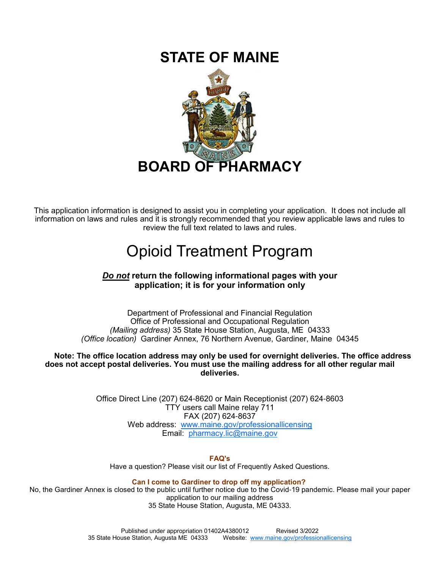# **STATE OF MAINE**



This application information is designed to assist you in completing your application. It does not include all information on laws and rules and it is strongly recommended that you review applicable laws and rules to review the full text related to laws and rules.

# Opioid Treatment Program

# *Do not* **return the following informational pages with your application; it is for your information only**

Department of Professional and Financial Regulation Office of Professional and Occupational Regulation *(Mailing address)* 35 State House Station, Augusta, ME 04333 *(Office location)* Gardiner Annex, 76 Northern Avenue, Gardiner, Maine 04345

**Note: The office location address may only be used for overnight deliveries. The office address does not accept postal deliveries. You must use the mailing address for all other regular mail deliveries.**

> Office Direct Line (207) 624-8620 or Main Receptionist (207) 624-8603 TTY users call Maine relay 711 FAX (207) 624-8637 Web address: www.maine.gov/professionallicensing Email: pharmacy.lic@maine.gov

> > **FAQ's**

Have a question? Please visit our list of Frequently Asked Questions.

**Can I come to Gardiner to drop off my application?** 

No, the Gardiner Annex is closed to the public until further notice due to the Covid-19 pandemic. Please mail your paper application to our mailing address 35 State House Station, Augusta, ME 04333.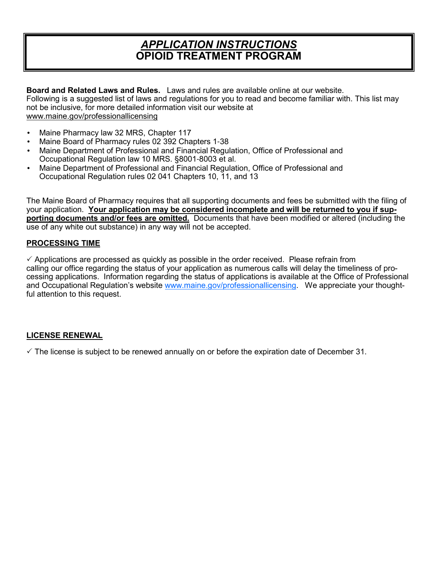# *APPLICATION INSTRUCTIONS* **OPIOID TREATMENT PROGRAM**

**Board and Related Laws and Rules.** Laws and rules are available online at our website. Following is a suggested list of laws and regulations for you to read and become familiar with. This list may not be inclusive, for more detailed information visit our website at www.maine.gov/professionallicensing

- Maine Pharmacy law 32 MRS, Chapter 117
- Maine Board of Pharmacy rules 02 392 Chapters 1-38
- Maine Department of Professional and Financial Regulation, Office of Professional and Occupational Regulation law 10 MRS. §8001-8003 et al.
- Maine Department of Professional and Financial Regulation, Office of Professional and Occupational Regulation rules 02 041 Chapters 10, 11, and 13

The Maine Board of Pharmacy requires that all supporting documents and fees be submitted with the filing of your application. **Your application may be considered incomplete and will be returned to you if supporting documents and/or fees are omitted.** Documents that have been modified or altered (including the use of any white out substance) in any way will not be accepted.

#### **PROCESSING TIME**

 $\checkmark$  Applications are processed as quickly as possible in the order received. Please refrain from calling our office regarding the status of your application as numerous calls will delay the timeliness of processing applications. Information regarding the status of applications is available at the Office of Professional and Occupational Regulation's website www.maine.gov/professionallicensing. We appreciate your thoughtful attention to this request.

#### **LICENSE RENEWAL**

 $\checkmark$  The license is subject to be renewed annually on or before the expiration date of December 31.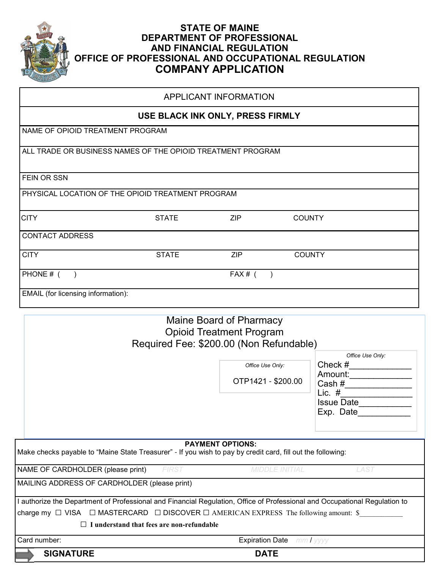

# **STATE OF MAINE DEPARTMENT OF PROFESSIONAL AND FINANCIAL REGULATION OFFICE OF PROFESSIONAL AND OCCUPATIONAL REGULATION COMPANY APPLICATION**

| <b>APPLICANT INFORMATION</b>                                |                                  |            |               |  |  |  |
|-------------------------------------------------------------|----------------------------------|------------|---------------|--|--|--|
|                                                             | USE BLACK INK ONLY, PRESS FIRMLY |            |               |  |  |  |
| NAME OF OPIOID TREATMENT PROGRAM                            |                                  |            |               |  |  |  |
| ALL TRADE OR BUSINESS NAMES OF THE OPIOID TREATMENT PROGRAM |                                  |            |               |  |  |  |
| FEIN OR SSN                                                 |                                  |            |               |  |  |  |
| PHYSICAL LOCATION OF THE OPIOID TREATMENT PROGRAM           |                                  |            |               |  |  |  |
| <b>CITY</b>                                                 | <b>STATE</b>                     | <b>ZIP</b> | <b>COUNTY</b> |  |  |  |
| <b>CONTACT ADDRESS</b>                                      |                                  |            |               |  |  |  |
| <b>CITY</b>                                                 | <b>STATE</b>                     | <b>ZIP</b> | <b>COUNTY</b> |  |  |  |
| PHONE # (                                                   |                                  | $FAX#$ (   |               |  |  |  |
| EMAIL (for licensing information):                          |                                  |            |               |  |  |  |

# Maine Board of Pharmacy Opioid Treatment Program Required Fee: \$200.00 (Non Refundable)

|                                                                                                                            |                                           | <b>DATE</b>                            |                                                                                                    |
|----------------------------------------------------------------------------------------------------------------------------|-------------------------------------------|----------------------------------------|----------------------------------------------------------------------------------------------------|
| Card number:                                                                                                               |                                           | <b>Expiration Date</b> mm / yyyy       |                                                                                                    |
| $\perp$                                                                                                                    | I understand that fees are non-refundable |                                        |                                                                                                    |
| charge my $\Box$ VISA $\Box$ MASTERCARD $\Box$ DISCOVER $\Box$ AMERICAN EXPRESS The following amount: \$                   |                                           |                                        |                                                                                                    |
| l authorize the Department of Professional and Financial Regulation, Office of Professional and Occupational Regulation to |                                           |                                        |                                                                                                    |
| MAILING ADDRESS OF CARDHOLDER (please print)                                                                               |                                           |                                        |                                                                                                    |
| NAME OF CARDHOLDER (please print)                                                                                          | <b>FIRST</b>                              | <b>MIDDLE INITIAL</b>                  | <i>LAST</i>                                                                                        |
| Make checks payable to "Maine State Treasurer" - If you wish to pay by credit card, fill out the following:                |                                           | <b>PAYMENT OPTIONS:</b>                |                                                                                                    |
|                                                                                                                            |                                           | Office Use Only:<br>OTP1421 - \$200.00 | Office Use Only:<br>Check $#$<br>Amount:<br>Cash $#$<br>Lic. $#$<br><b>Issue Date</b><br>Exp. Date |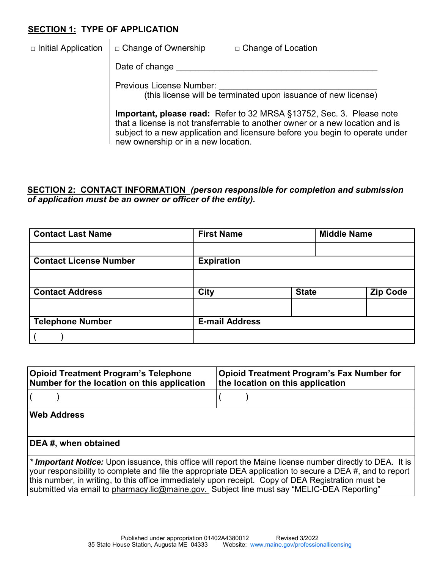# **SECTION 1: TYPE OF APPLICATION**

|  | $\Box$ Initial Application $\Box$ Change of Ownership | □ Change of Location |  |
|--|-------------------------------------------------------|----------------------|--|
|--|-------------------------------------------------------|----------------------|--|

Date of change

Previous License Number: (this license will be terminated upon issuance of new license)

**Important, please read:** Refer to 32 MRSA §13752, Sec. 3. Please note that a license is not transferrable to another owner or a new location and is subject to a new application and licensure before you begin to operate under

new ownership or in a new location.

# **SECTION 2: CONTACT INFORMATION** *(person responsible for completion and submission of application must be an owner or officer of the entity).*

| <b>Contact Last Name</b>      | <b>First Name</b>     |              | <b>Middle Name</b> |  |
|-------------------------------|-----------------------|--------------|--------------------|--|
|                               |                       |              |                    |  |
| <b>Contact License Number</b> | <b>Expiration</b>     |              |                    |  |
|                               |                       |              |                    |  |
| <b>Contact Address</b>        | <b>City</b>           | <b>State</b> | <b>Zip Code</b>    |  |
|                               |                       |              |                    |  |
| <b>Telephone Number</b>       | <b>E-mail Address</b> |              |                    |  |
|                               |                       |              |                    |  |

| <b>Opioid Treatment Program's Telephone</b><br>Number for the location on this application | <b>Opioid Treatment Program's Fax Number for</b><br>the location on this application |
|--------------------------------------------------------------------------------------------|--------------------------------------------------------------------------------------|
|                                                                                            |                                                                                      |
| <b>Web Address</b>                                                                         |                                                                                      |
|                                                                                            |                                                                                      |

# **DEA #, when obtained**

*\* Important Notice:* Upon issuance, this office will report the Maine license number directly to DEA. It is your responsibility to complete and file the appropriate DEA application to secure a DEA #, and to report this number, in writing, to this office immediately upon receipt. Copy of DEA Registration must be submitted via email to pharmacy.lic@maine.gov. Subject line must say "MELIC-DEA Reporting"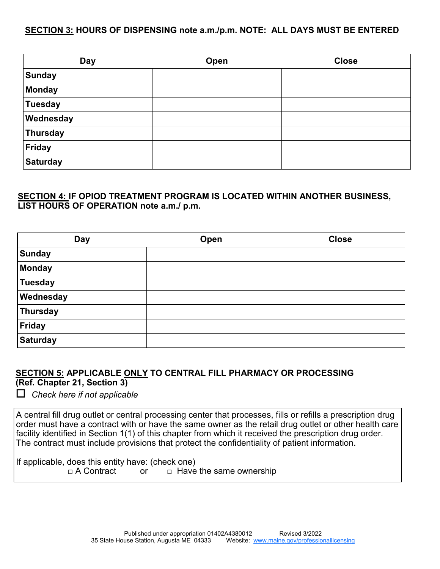#### **SECTION 3: HOURS OF DISPENSING note a.m./p.m. NOTE: ALL DAYS MUST BE ENTERED**

| <b>Day</b>      | Open | <b>Close</b> |
|-----------------|------|--------------|
| <b>Sunday</b>   |      |              |
| Monday          |      |              |
| <b>Tuesday</b>  |      |              |
| Wednesday       |      |              |
| Thursday        |      |              |
| Friday          |      |              |
| <b>Saturday</b> |      |              |

### **SECTION 4: IF OPIOD TREATMENT PROGRAM IS LOCATED WITHIN ANOTHER BUSINESS, LIST HOURS OF OPERATION note a.m./ p.m.**

| <b>Day</b>      | Open | <b>Close</b> |
|-----------------|------|--------------|
| <b>Sunday</b>   |      |              |
| Monday          |      |              |
| <b>Tuesday</b>  |      |              |
| Wednesday       |      |              |
| Thursday        |      |              |
| Friday          |      |              |
| <b>Saturday</b> |      |              |

# **SECTION 5: APPLICABLE ONLY TO CENTRAL FILL PHARMACY OR PROCESSING (Ref. Chapter 21, Section 3)**

*Check here if not applicable*

A central fill drug outlet or central processing center that processes, fills or refills a prescription drug order must have a contract with or have the same owner as the retail drug outlet or other health care facility identified in Section 1(1) of this chapter from which it received the prescription drug order. The contract must include provisions that protect the confidentiality of patient information.

If applicable, does this entity have: (check one)<br> $\Box$  A Contract or  $\Box$  Have

or  $\Box$  Have the same ownership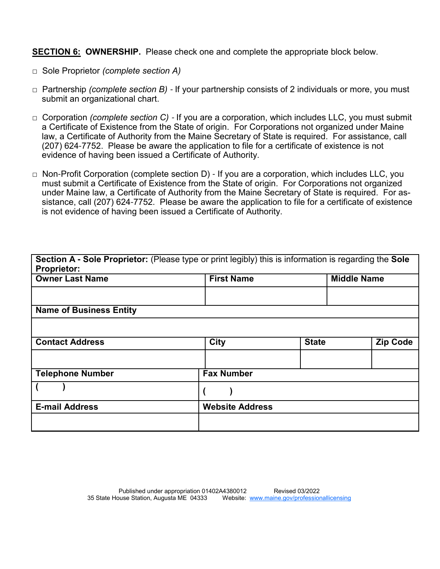**SECTION 6: OWNERSHIP.** Please check one and complete the appropriate block below.

- □ Sole Proprietor *(complete section A)*
- □ Partnership *(complete section B)*  If your partnership consists of 2 individuals or more, you must submit an organizational chart.
- □ Corporation *(complete section C)*  If you are a corporation, which includes LLC, you must submit a Certificate of Existence from the State of origin. For Corporations not organized under Maine law, a Certificate of Authority from the Maine Secretary of State is required. For assistance, call (207) 624-7752. Please be aware the application to file for a certificate of existence is not evidence of having been issued a Certificate of Authority.
- □ Non-Profit Corporation (complete section D) If you are a corporation, which includes LLC, you must submit a Certificate of Existence from the State of origin. For Corporations not organized under Maine law, a Certificate of Authority from the Maine Secretary of State is required. For assistance, call (207) 624-7752. Please be aware the application to file for a certificate of existence is not evidence of having been issued a Certificate of Authority.

| Section A - Sole Proprietor: (Please type or print legibly) this is information is regarding the Sole<br><b>Proprietor:</b> |                        |              |                    |                 |
|-----------------------------------------------------------------------------------------------------------------------------|------------------------|--------------|--------------------|-----------------|
| <b>Owner Last Name</b>                                                                                                      | <b>First Name</b>      |              | <b>Middle Name</b> |                 |
|                                                                                                                             |                        |              |                    |                 |
| <b>Name of Business Entity</b>                                                                                              |                        |              |                    |                 |
|                                                                                                                             |                        |              |                    |                 |
| <b>Contact Address</b>                                                                                                      | City                   | <b>State</b> |                    | <b>Zip Code</b> |
|                                                                                                                             |                        |              |                    |                 |
| <b>Telephone Number</b>                                                                                                     | <b>Fax Number</b>      |              |                    |                 |
|                                                                                                                             |                        |              |                    |                 |
| <b>E-mail Address</b>                                                                                                       | <b>Website Address</b> |              |                    |                 |
|                                                                                                                             |                        |              |                    |                 |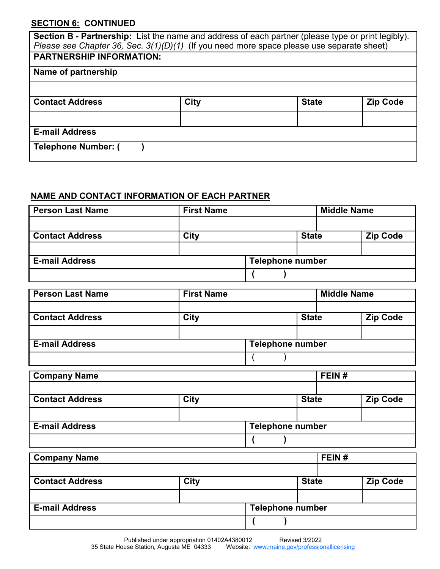# **SECTION 6: CONTINUED**

| Section B - Partnership: List the name and address of each partner (please type or print legibly).<br>Please see Chapter 36, Sec. $3(1)(D)(1)$ (If you need more space please use separate sheet) |      |              |                 |  |  |  |
|---------------------------------------------------------------------------------------------------------------------------------------------------------------------------------------------------|------|--------------|-----------------|--|--|--|
| <b>PARTNERSHIP INFORMATION:</b>                                                                                                                                                                   |      |              |                 |  |  |  |
| Name of partnership                                                                                                                                                                               |      |              |                 |  |  |  |
|                                                                                                                                                                                                   |      |              |                 |  |  |  |
| <b>Contact Address</b>                                                                                                                                                                            | City | <b>State</b> | <b>Zip Code</b> |  |  |  |
|                                                                                                                                                                                                   |      |              |                 |  |  |  |
| <b>E-mail Address</b>                                                                                                                                                                             |      |              |                 |  |  |  |
| <b>Telephone Number: (</b>                                                                                                                                                                        |      |              |                 |  |  |  |

# **NAME AND CONTACT INFORMATION OF EACH PARTNER**

| <b>Person Last Name</b> | <b>First Name</b> |                         | <b>Middle Name</b> |  |                 |
|-------------------------|-------------------|-------------------------|--------------------|--|-----------------|
|                         |                   |                         |                    |  |                 |
| <b>Contact Address</b>  | <b>City</b>       |                         | <b>State</b>       |  | <b>Zip Code</b> |
|                         |                   |                         |                    |  |                 |
| <b>E-mail Address</b>   |                   | <b>Telephone number</b> |                    |  |                 |
|                         |                   |                         |                    |  |                 |

| <b>Person Last Name</b> | <b>First Name</b> |                         |              |  | <b>Middle Name</b> |  |  |
|-------------------------|-------------------|-------------------------|--------------|--|--------------------|--|--|
|                         |                   |                         |              |  |                    |  |  |
| <b>Contact Address</b>  | <b>City</b>       |                         | <b>State</b> |  | <b>Zip Code</b>    |  |  |
|                         |                   |                         |              |  |                    |  |  |
| <b>E-mail Address</b>   |                   | <b>Telephone number</b> |              |  |                    |  |  |
|                         |                   |                         |              |  |                    |  |  |

| <b>Company Name</b>    |      |                         |              | FEIN# |                 |
|------------------------|------|-------------------------|--------------|-------|-----------------|
|                        |      |                         |              |       |                 |
| <b>Contact Address</b> | City |                         | <b>State</b> |       | <b>Zip Code</b> |
|                        |      |                         |              |       |                 |
| <b>E-mail Address</b>  |      | <b>Telephone number</b> |              |       |                 |
|                        |      |                         |              |       |                 |

| <b>Company Name</b>    |      |                         |              | FEIN# |                 |
|------------------------|------|-------------------------|--------------|-------|-----------------|
|                        |      |                         |              |       |                 |
| <b>Contact Address</b> | City |                         | <b>State</b> |       | <b>Zip Code</b> |
|                        |      |                         |              |       |                 |
| <b>E-mail Address</b>  |      | <b>Telephone number</b> |              |       |                 |
|                        |      |                         |              |       |                 |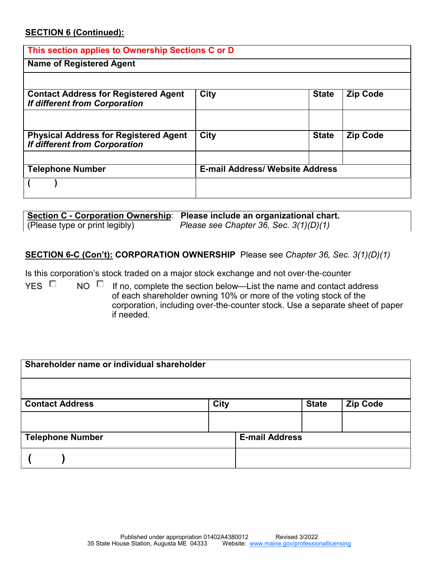#### **SECTION 6 (Continued):**

#### **This section applies to Ownership Sections C or D**

#### **Name of Registered Agent**

| <b>Contact Address for Registered Agent</b><br><b>If different from Corporation</b>  | <b>City</b>                            | <b>State</b> | <b>Zip Code</b> |
|--------------------------------------------------------------------------------------|----------------------------------------|--------------|-----------------|
|                                                                                      |                                        |              |                 |
| <b>Physical Address for Registered Agent</b><br><b>If different from Corporation</b> | City                                   | <b>State</b> | <b>Zip Code</b> |
|                                                                                      |                                        |              |                 |
| <b>Telephone Number</b>                                                              | <b>E-mail Address/ Website Address</b> |              |                 |
|                                                                                      |                                        |              |                 |

|                                | Section C - Corporation Ownership: Please include an organizational chart. |
|--------------------------------|----------------------------------------------------------------------------|
| (Please type or print legibly) | Please see Chapter 36, Sec. $3(1)(D)(1)$                                   |

#### **SECTION 6-C (Con't): CORPORATION OWNERSHIP** Please see *Chapter 36, Sec. 3(1)(D)(1)*

Is this corporation's stock traded on a major stock exchange and not over-the-counter

YES  $\Box$  NO  $\Box$  If no, complete the section below—List the name and contact address of each shareholder owning 10% or more of the voting stock of the corporation, including over-the-counter stock. Use a separate sheet of paper if needed.

| Shareholder name or individual shareholder |             |                       |              |                 |
|--------------------------------------------|-------------|-----------------------|--------------|-----------------|
|                                            |             |                       |              |                 |
| <b>Contact Address</b>                     | <b>City</b> |                       | <b>State</b> | <b>Zip Code</b> |
|                                            |             |                       |              |                 |
| <b>Telephone Number</b>                    |             | <b>E-mail Address</b> |              |                 |
|                                            |             |                       |              |                 |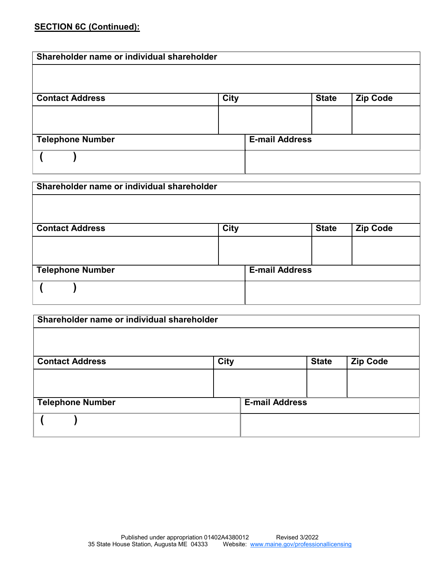# **SECTION 6C (Continued):**

| Shareholder name or individual shareholder |             |                       |                 |
|--------------------------------------------|-------------|-----------------------|-----------------|
|                                            |             |                       |                 |
| <b>Contact Address</b>                     | <b>City</b> | <b>State</b>          | <b>Zip Code</b> |
|                                            |             |                       |                 |
|                                            |             |                       |                 |
| <b>Telephone Number</b>                    |             | <b>E-mail Address</b> |                 |
|                                            |             |                       |                 |
|                                            |             |                       |                 |

| Shareholder name or individual shareholder |             |                       |              |                 |  |  |
|--------------------------------------------|-------------|-----------------------|--------------|-----------------|--|--|
|                                            |             |                       |              |                 |  |  |
| <b>Contact Address</b>                     | <b>City</b> |                       | <b>State</b> | <b>Zip Code</b> |  |  |
|                                            |             |                       |              |                 |  |  |
|                                            |             |                       |              |                 |  |  |
| <b>Telephone Number</b>                    |             | <b>E-mail Address</b> |              |                 |  |  |
|                                            |             |                       |              |                 |  |  |

| Shareholder name or individual shareholder |             |                       |              |                 |  |  |
|--------------------------------------------|-------------|-----------------------|--------------|-----------------|--|--|
|                                            |             |                       |              |                 |  |  |
| <b>Contact Address</b>                     | <b>City</b> |                       | <b>State</b> | <b>Zip Code</b> |  |  |
|                                            |             |                       |              |                 |  |  |
|                                            |             |                       |              |                 |  |  |
| <b>Telephone Number</b>                    |             | <b>E-mail Address</b> |              |                 |  |  |
|                                            |             |                       |              |                 |  |  |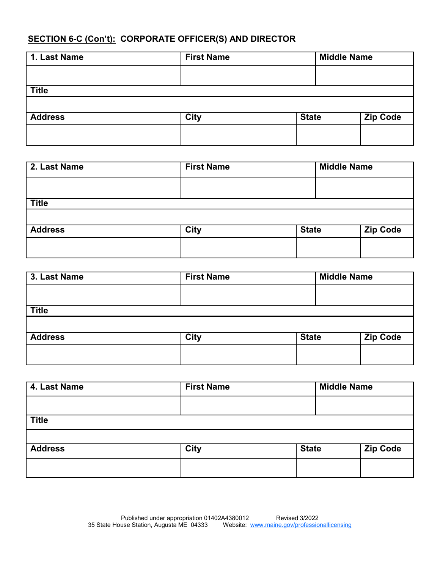# **SECTION 6-C (Con't): CORPORATE OFFICER(S) AND DIRECTOR**

| <b>First Name</b> |  |  | <b>Middle Name</b> |  |
|-------------------|--|--|--------------------|--|
|                   |  |  |                    |  |
|                   |  |  |                    |  |
|                   |  |  |                    |  |
| <b>City</b>       |  |  | <b>Zip Code</b>    |  |
|                   |  |  |                    |  |
|                   |  |  | <b>State</b>       |  |

| 2. Last Name   | <b>First Name</b> |              | <b>Middle Name</b> |  |
|----------------|-------------------|--------------|--------------------|--|
|                |                   |              |                    |  |
| <b>Title</b>   |                   |              |                    |  |
| <b>Address</b> | <b>City</b>       | <b>State</b> | <b>Zip Code</b>    |  |
|                |                   |              |                    |  |

| 3. Last Name   | <b>First Name</b> |              |  | <b>Middle Name</b> |  |
|----------------|-------------------|--------------|--|--------------------|--|
|                |                   |              |  |                    |  |
| <b>Title</b>   |                   |              |  |                    |  |
|                |                   |              |  |                    |  |
| <b>Address</b> | <b>City</b>       | <b>State</b> |  | <b>Zip Code</b>    |  |
|                |                   |              |  |                    |  |
|                |                   |              |  |                    |  |

| 4. Last Name   | <b>First Name</b> |              | <b>Middle Name</b> |  |
|----------------|-------------------|--------------|--------------------|--|
|                |                   |              |                    |  |
| <b>Title</b>   |                   |              |                    |  |
|                |                   |              |                    |  |
| <b>Address</b> | <b>City</b>       | <b>State</b> | <b>Zip Code</b>    |  |
|                |                   |              |                    |  |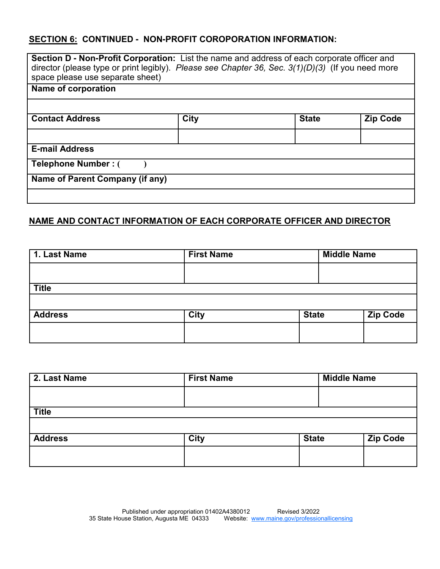# **SECTION 6: CONTINUED - NON-PROFIT COROPORATION INFORMATION:**

| Section D - Non-Profit Corporation: List the name and address of each corporate officer and<br>director (please type or print legibly). Please see Chapter 36, Sec. $3(1)(D)(3)$ (If you need more<br>space please use separate sheet) |      |              |                 |  |  |
|----------------------------------------------------------------------------------------------------------------------------------------------------------------------------------------------------------------------------------------|------|--------------|-----------------|--|--|
| Name of corporation                                                                                                                                                                                                                    |      |              |                 |  |  |
|                                                                                                                                                                                                                                        |      |              |                 |  |  |
| <b>Contact Address</b>                                                                                                                                                                                                                 | City | <b>State</b> | <b>Zip Code</b> |  |  |
|                                                                                                                                                                                                                                        |      |              |                 |  |  |
| <b>E-mail Address</b>                                                                                                                                                                                                                  |      |              |                 |  |  |
| Telephone Number: (                                                                                                                                                                                                                    |      |              |                 |  |  |
| Name of Parent Company (if any)                                                                                                                                                                                                        |      |              |                 |  |  |
|                                                                                                                                                                                                                                        |      |              |                 |  |  |

#### **NAME AND CONTACT INFORMATION OF EACH CORPORATE OFFICER AND DIRECTOR**

| <b>First Name</b> |  | <b>Middle Name</b> |                 |
|-------------------|--|--------------------|-----------------|
|                   |  |                    |                 |
|                   |  |                    |                 |
|                   |  |                    |                 |
| <b>City</b>       |  |                    | <b>Zip Code</b> |
|                   |  |                    |                 |
|                   |  |                    | <b>State</b>    |

| <b>First Name</b> |              | <b>Middle Name</b> |  |
|-------------------|--------------|--------------------|--|
|                   |              |                    |  |
|                   |              |                    |  |
|                   |              |                    |  |
| <b>City</b>       | <b>State</b> | <b>Zip Code</b>    |  |
|                   |              |                    |  |
|                   |              |                    |  |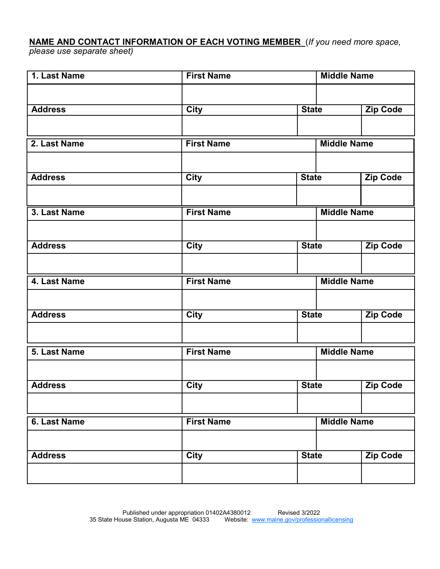# **NAME AND CONTACT INFORMATION OF EACH VOTING MEMBER** (*If you need more space,*

*please use separate sheet)*

| 1. Last Name   | <b>First Name</b><br><b>Middle Name</b> |              |                    |                 |
|----------------|-----------------------------------------|--------------|--------------------|-----------------|
|                |                                         |              |                    |                 |
| <b>Address</b> | <b>City</b>                             | <b>State</b> |                    | <b>Zip Code</b> |
|                |                                         |              |                    |                 |
| 2. Last Name   | <b>First Name</b>                       |              | <b>Middle Name</b> |                 |
|                |                                         |              |                    |                 |
| <b>Address</b> | <b>City</b>                             | <b>State</b> |                    | <b>Zip Code</b> |
|                |                                         |              |                    |                 |
| 3. Last Name   | <b>First Name</b>                       |              | <b>Middle Name</b> |                 |
|                |                                         |              |                    |                 |
| <b>Address</b> | <b>City</b>                             | <b>State</b> |                    | <b>Zip Code</b> |
|                |                                         |              |                    |                 |
| 4. Last Name   | <b>First Name</b>                       |              | <b>Middle Name</b> |                 |
|                |                                         |              |                    |                 |
| <b>Address</b> | <b>City</b>                             | <b>State</b> |                    | <b>Zip Code</b> |
|                |                                         |              |                    |                 |
| 5. Last Name   | <b>First Name</b>                       |              | <b>Middle Name</b> |                 |
|                |                                         |              |                    |                 |
| <b>Address</b> | <b>City</b>                             | <b>State</b> |                    | <b>Zip Code</b> |
|                |                                         |              |                    |                 |
| 6. Last Name   | <b>First Name</b>                       |              | <b>Middle Name</b> |                 |
|                |                                         |              |                    |                 |
| <b>Address</b> | <b>City</b>                             | <b>State</b> |                    | <b>Zip Code</b> |
|                |                                         |              |                    |                 |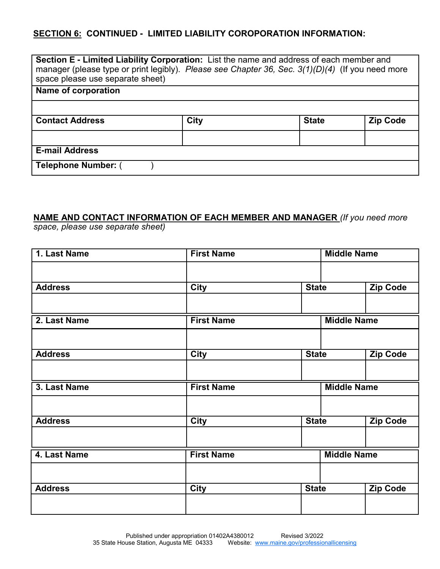# **SECTION 6: CONTINUED - LIMITED LIABILITY COROPORATION INFORMATION:**

| <b>Section E - Limited Liability Corporation:</b> List the name and address of each member and<br>manager (please type or print legibly). Please see Chapter 36, Sec. 3(1)(D)(4) (If you need more<br>space please use separate sheet) |             |              |                 |  |
|----------------------------------------------------------------------------------------------------------------------------------------------------------------------------------------------------------------------------------------|-------------|--------------|-----------------|--|
| <b>Name of corporation</b>                                                                                                                                                                                                             |             |              |                 |  |
|                                                                                                                                                                                                                                        |             |              |                 |  |
| <b>Contact Address</b>                                                                                                                                                                                                                 | <b>City</b> | <b>State</b> | <b>Zip Code</b> |  |
|                                                                                                                                                                                                                                        |             |              |                 |  |
| <b>E-mail Address</b>                                                                                                                                                                                                                  |             |              |                 |  |
| <b>Telephone Number: (</b>                                                                                                                                                                                                             |             |              |                 |  |

# **NAME AND CONTACT INFORMATION OF EACH MEMBER AND MANAGER** *(If you need more*

*space, please use separate sheet)*

| 1. Last Name   | <b>Middle Name</b><br><b>First Name</b> |                    |                 |
|----------------|-----------------------------------------|--------------------|-----------------|
|                |                                         |                    |                 |
| <b>Address</b> | <b>City</b>                             | <b>State</b>       | <b>Zip Code</b> |
|                |                                         |                    |                 |
| 2. Last Name   | <b>First Name</b>                       | <b>Middle Name</b> |                 |
|                |                                         |                    |                 |
| <b>Address</b> | <b>City</b>                             | <b>State</b>       | <b>Zip Code</b> |
|                |                                         |                    |                 |
| 3. Last Name   | <b>First Name</b>                       | <b>Middle Name</b> |                 |
|                |                                         |                    |                 |
|                |                                         |                    |                 |
| <b>Address</b> | <b>City</b>                             | <b>State</b>       | <b>Zip Code</b> |
|                |                                         |                    |                 |
| 4. Last Name   | <b>First Name</b>                       | <b>Middle Name</b> |                 |
|                |                                         |                    |                 |
| <b>Address</b> | <b>City</b>                             | <b>State</b>       | <b>Zip Code</b> |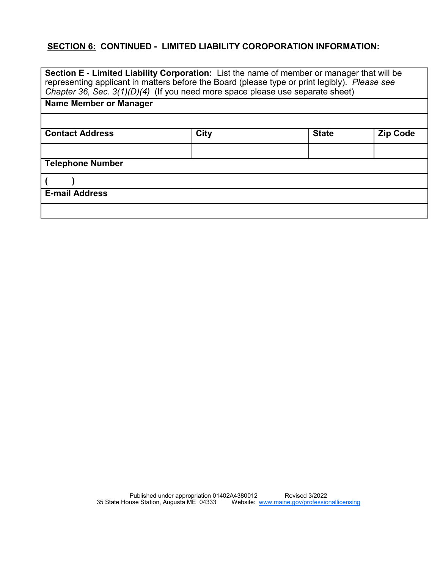# **SECTION 6: CONTINUED - LIMITED LIABILITY COROPORATION INFORMATION:**

| <b>Section E - Limited Liability Corporation:</b> List the name of member or manager that will be<br>representing applicant in matters before the Board (please type or print legibly). Please see<br>Chapter 36, Sec. 3(1)(D)(4) (If you need more space please use separate sheet) |                                                |  |  |  |
|--------------------------------------------------------------------------------------------------------------------------------------------------------------------------------------------------------------------------------------------------------------------------------------|------------------------------------------------|--|--|--|
| Name Member or Manager                                                                                                                                                                                                                                                               |                                                |  |  |  |
|                                                                                                                                                                                                                                                                                      |                                                |  |  |  |
| <b>Contact Address</b>                                                                                                                                                                                                                                                               | <b>City</b><br><b>State</b><br><b>Zip Code</b> |  |  |  |
|                                                                                                                                                                                                                                                                                      |                                                |  |  |  |
| <b>Telephone Number</b>                                                                                                                                                                                                                                                              |                                                |  |  |  |
|                                                                                                                                                                                                                                                                                      |                                                |  |  |  |
| <b>E-mail Address</b>                                                                                                                                                                                                                                                                |                                                |  |  |  |
|                                                                                                                                                                                                                                                                                      |                                                |  |  |  |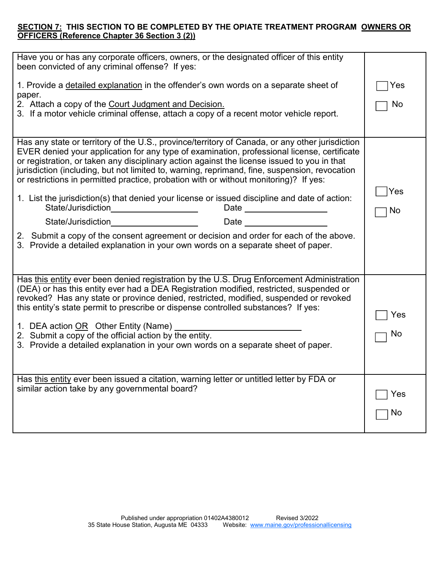#### **SECTION 7: THIS SECTION TO BE COMPLETED BY THE OPIATE TREATMENT PROGRAM OWNERS OR OFFICERS (Reference Chapter 36 Section 3 (2))**

| Have you or has any corporate officers, owners, or the designated officer of this entity<br>been convicted of any criminal offense? If yes:                                                                                                                                                                                                                                                                                                                                                                                                                                                                                                                                                                                                                                                                                                                                                                                                                                                                                                                                                                     |                  |
|-----------------------------------------------------------------------------------------------------------------------------------------------------------------------------------------------------------------------------------------------------------------------------------------------------------------------------------------------------------------------------------------------------------------------------------------------------------------------------------------------------------------------------------------------------------------------------------------------------------------------------------------------------------------------------------------------------------------------------------------------------------------------------------------------------------------------------------------------------------------------------------------------------------------------------------------------------------------------------------------------------------------------------------------------------------------------------------------------------------------|------------------|
| 1. Provide a detailed explanation in the offender's own words on a separate sheet of<br>paper.                                                                                                                                                                                                                                                                                                                                                                                                                                                                                                                                                                                                                                                                                                                                                                                                                                                                                                                                                                                                                  | Yes              |
| 2. Attach a copy of the Court Judgment and Decision.<br>3. If a motor vehicle criminal offense, attach a copy of a recent motor vehicle report.                                                                                                                                                                                                                                                                                                                                                                                                                                                                                                                                                                                                                                                                                                                                                                                                                                                                                                                                                                 | No               |
| Has any state or territory of the U.S., province/territory of Canada, or any other jurisdiction<br>EVER denied your application for any type of examination, professional license, certificate<br>or registration, or taken any disciplinary action against the license issued to you in that<br>jurisdiction (including, but not limited to, warning, reprimand, fine, suspension, revocation<br>or restrictions in permitted practice, probation with or without monitoring)? If yes:<br>1. List the jurisdiction(s) that denied your license or issued discipline and date of action:<br>State/Jurisdiction____________________<br>Date __________________<br><u> 1989 - Johann Barbara, politik eta politik eta politik eta politik eta politik eta politik eta politik eta p</u> oli<br>Date and the state of the state of the state of the state of the state of the state of the state of the state<br>State/Jurisdiction<br>2. Submit a copy of the consent agreement or decision and order for each of the above.<br>3. Provide a detailed explanation in your own words on a separate sheet of paper. | Yes<br><b>No</b> |
| Has this entity ever been denied registration by the U.S. Drug Enforcement Administration<br>(DEA) or has this entity ever had a DEA Registration modified, restricted, suspended or<br>revoked? Has any state or province denied, restricted, modified, suspended or revoked<br>this entity's state permit to prescribe or dispense controlled substances? If yes:<br>1. DEA action OR Other Entity (Name)<br>2. Submit a copy of the official action by the entity.<br>3. Provide a detailed explanation in your own words on a separate sheet of paper.                                                                                                                                                                                                                                                                                                                                                                                                                                                                                                                                                      | Yes<br>No        |
| Has this entity ever been issued a citation, warning letter or untitled letter by FDA or<br>similar action take by any governmental board?                                                                                                                                                                                                                                                                                                                                                                                                                                                                                                                                                                                                                                                                                                                                                                                                                                                                                                                                                                      | Yes<br>No        |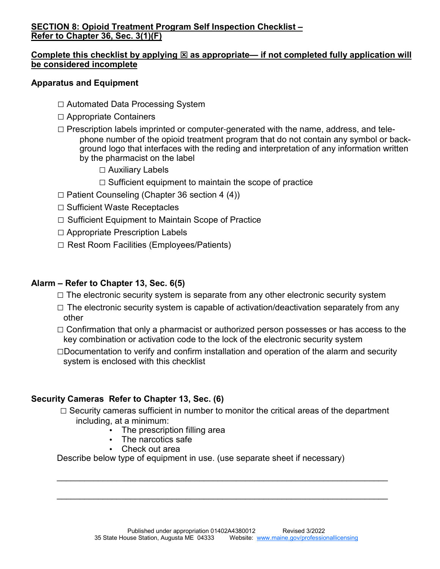# **SECTION 8: Opioid Treatment Program Self Inspection Checklist – Refer to Chapter 36, Sec. 3(1)(F)**

# Complete this checklist by applying  $\boxtimes$  as appropriate— if not completed fully application will **be considered incomplete**

### **Apparatus and Equipment**

- □ Automated Data Processing System
- □ Appropriate Containers
- $\Box$  Prescription labels imprinted or computer-generated with the name, address, and telephone number of the opioid treatment program that do not contain any symbol or background logo that interfaces with the reding and interpretation of any information written by the pharmacist on the label
	- □ Auxiliary Labels
	- $\Box$  Sufficient equipment to maintain the scope of practice
- $\Box$  Patient Counseling (Chapter 36 section 4 (4))
- □ Sufficient Waste Receptacles
- $\Box$  Sufficient Equipment to Maintain Scope of Practice
- □ Appropriate Prescription Labels
- □ Rest Room Facilities (Employees/Patients)

# **Alarm – Refer to Chapter 13, Sec. 6(5)**

- $\square$  The electronic security system is separate from any other electronic security system
- $\square$  The electronic security system is capable of activation/deactivation separately from any other
- $\Box$  Confirmation that only a pharmacist or authorized person possesses or has access to the key combination or activation code to the lock of the electronic security system
- $\Box$ Documentation to verify and confirm installation and operation of the alarm and security system is enclosed with this checklist

# **Security Cameras Refer to Chapter 13, Sec. (6)**

 $\Box$  Security cameras sufficient in number to monitor the critical areas of the department including, at a minimum:

\_\_\_\_\_\_\_\_\_\_\_\_\_\_\_\_\_\_\_\_\_\_\_\_\_\_\_\_\_\_\_\_\_\_\_\_\_\_\_\_\_\_\_\_\_\_\_\_\_\_\_\_\_\_\_\_\_\_\_\_\_\_\_\_\_\_\_\_\_\_\_\_

\_\_\_\_\_\_\_\_\_\_\_\_\_\_\_\_\_\_\_\_\_\_\_\_\_\_\_\_\_\_\_\_\_\_\_\_\_\_\_\_\_\_\_\_\_\_\_\_\_\_\_\_\_\_\_\_\_\_\_\_\_\_\_\_\_\_\_\_\_\_\_\_

- The prescription filling area
- The narcotics safe
- Check out area

Describe below type of equipment in use. (use separate sheet if necessary)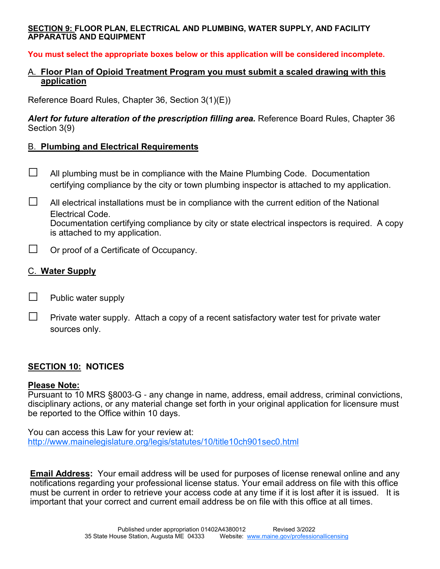#### **SECTION 9: FLOOR PLAN, ELECTRICAL AND PLUMBING, WATER SUPPLY, AND FACILITY APPARATUS AND EQUIPMENT**

**You must select the appropriate boxes below or this application will be considered incomplete.** 

#### A. **Floor Plan of Opioid Treatment Program you must submit a scaled drawing with this application**

Reference Board Rules, Chapter 36, Section 3(1)(E))

Alert for future alteration of the prescription filling area. Reference Board Rules, Chapter 36 Section 3(9)

#### B. **Plumbing and Electrical Requirements**

- $\Box$  All plumbing must be in compliance with the Maine Plumbing Code. Documentation certifying compliance by the city or town plumbing inspector is attached to my application.
- $\Box$  All electrical installations must be in compliance with the current edition of the National Electrical Code. Documentation certifying compliance by city or state electrical inspectors is required. A copy is attached to my application.
- $\Box$  Or proof of a Certificate of Occupancy.

# C. **Water Supply**

 $\Box$  Public water supply

 $\Box$  Private water supply. Attach a copy of a recent satisfactory water test for private water sources only.

# **SECTION 10: NOTICES**

#### **Please Note:**

Pursuant to 10 MRS §8003-G - any change in name, address, email address, criminal convictions, disciplinary actions, or any material change set forth in your original application for licensure must be reported to the Office within 10 days.

You can access this Law for your review at: http://www.mainelegislature.org/legis/statutes/10/title10ch901sec0.html

**Email Address:** Your email address will be used for purposes of license renewal online and any notifications regarding your professional license status. Your email address on file with this office must be current in order to retrieve your access code at any time if it is lost after it is issued.It is important that your correct and current email address be on file with this office at all times.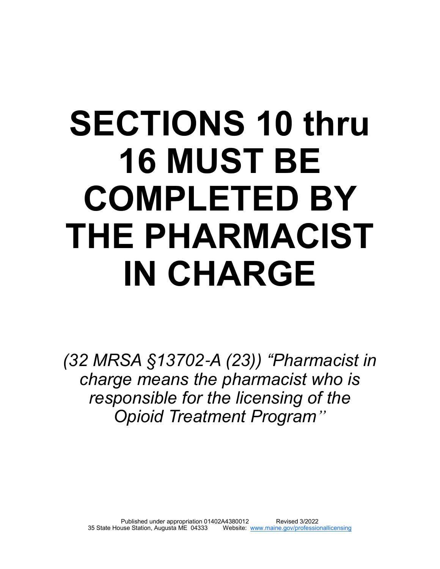# **SECTIONS 10 thru 16 MUST BE COMPLETED BY THE PHARMACIST IN CHARGE**

*(32 MRSA §13702*-*A (23)) "Pharmacist in charge means the pharmacist who is responsible for the licensing of the Opioid Treatment Program"*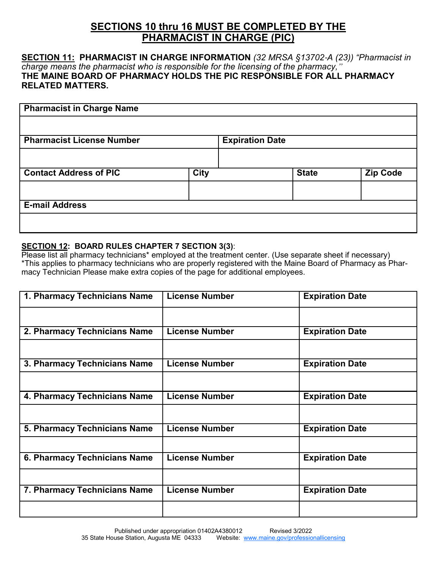# **SECTIONS 10 thru 16 MUST BE COMPLETED BY THE PHARMACIST IN CHARGE (PIC)**

#### **SECTION 11: PHARMACIST IN CHARGE INFORMATION** *(32 MRSA §13702*-*A (23)) "Pharmacist in charge means the pharmacist who is responsible for the licensing of the pharmacy,"*  **THE MAINE BOARD OF PHARMACY HOLDS THE PIC RESPONSIBLE FOR ALL PHARMACY RELATED MATTERS.**

| <b>Pharmacist in Charge Name</b> |             |                        |              |                 |
|----------------------------------|-------------|------------------------|--------------|-----------------|
|                                  |             |                        |              |                 |
| <b>Pharmacist License Number</b> |             | <b>Expiration Date</b> |              |                 |
|                                  |             |                        |              |                 |
| <b>Contact Address of PIC</b>    | <b>City</b> |                        | <b>State</b> | <b>Zip Code</b> |
|                                  |             |                        |              |                 |
| <b>E-mail Address</b>            |             |                        |              |                 |
|                                  |             |                        |              |                 |

#### **SECTION 12: BOARD RULES CHAPTER 7 SECTION 3(3)**:

Please list all pharmacy technicians<sup>\*</sup> employed at the treatment center. (Use separate sheet if necessary) \*This applies to pharmacy technicians who are properly registered with the Maine Board of Pharmacy as Pharmacy Technician Please make extra copies of the page for additional employees.

| 1. Pharmacy Technicians Name | <b>License Number</b> | <b>Expiration Date</b> |
|------------------------------|-----------------------|------------------------|
|                              |                       |                        |
| 2. Pharmacy Technicians Name | <b>License Number</b> | <b>Expiration Date</b> |
|                              |                       |                        |
| 3. Pharmacy Technicians Name | <b>License Number</b> | <b>Expiration Date</b> |
|                              |                       |                        |
| 4. Pharmacy Technicians Name | <b>License Number</b> | <b>Expiration Date</b> |
|                              |                       |                        |
| 5. Pharmacy Technicians Name | <b>License Number</b> | <b>Expiration Date</b> |
|                              |                       |                        |
| 6. Pharmacy Technicians Name | <b>License Number</b> | <b>Expiration Date</b> |
|                              |                       |                        |
| 7. Pharmacy Technicians Name | <b>License Number</b> | <b>Expiration Date</b> |
|                              |                       |                        |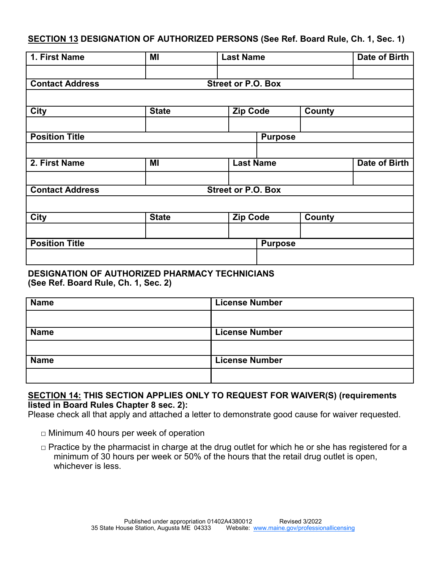**SECTION 13 DESIGNATION OF AUTHORIZED PERSONS (See Ref. Board Rule, Ch. 1, Sec. 1)**

| 1. First Name          | MI           |                           | <b>Last Name</b> |                |               | Date of Birth |
|------------------------|--------------|---------------------------|------------------|----------------|---------------|---------------|
| <b>Contact Address</b> |              | <b>Street or P.O. Box</b> |                  |                |               |               |
| <b>City</b>            | <b>State</b> |                           | <b>Zip Code</b>  |                | <b>County</b> |               |
| <b>Position Title</b>  |              |                           |                  | <b>Purpose</b> |               |               |
| 2. First Name          | MI           |                           | <b>Last Name</b> |                |               | Date of Birth |
| <b>Contact Address</b> |              | <b>Street or P.O. Box</b> |                  |                |               |               |
| <b>City</b>            | <b>State</b> |                           | <b>Zip Code</b>  |                | <b>County</b> |               |
| <b>Position Title</b>  |              |                           |                  | <b>Purpose</b> |               |               |

#### **DESIGNATION OF AUTHORIZED PHARMACY TECHNICIANS (See Ref. Board Rule, Ch. 1, Sec. 2)**

| <b>Name</b> | <b>License Number</b> |
|-------------|-----------------------|
|             |                       |
| <b>Name</b> | <b>License Number</b> |
|             |                       |
| <b>Name</b> | <b>License Number</b> |
|             |                       |

#### **SECTION 14: THIS SECTION APPLIES ONLY TO REQUEST FOR WAIVER(S) (requirements listed in Board Rules Chapter 8 sec. 2):**

Please check all that apply and attached a letter to demonstrate good cause for waiver requested.

- □ Minimum 40 hours per week of operation
- $\Box$  Practice by the pharmacist in charge at the drug outlet for which he or she has registered for a minimum of 30 hours per week or 50% of the hours that the retail drug outlet is open, whichever is less.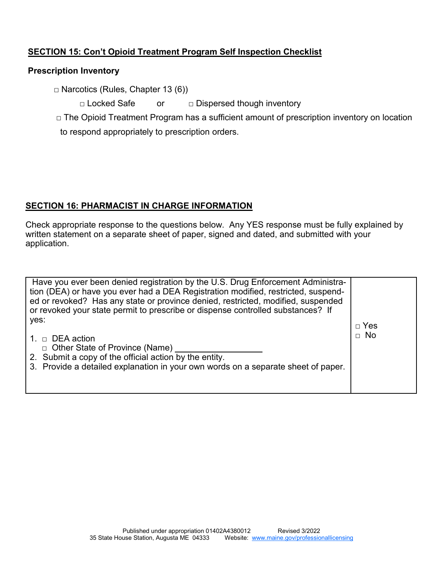# **SECTION 15: Con't Opioid Treatment Program Self Inspection Checklist**

# **Prescription Inventory**

□ Narcotics (Rules, Chapter 13 (6))

□ Locked Safe or □ Dispersed though inventory

□ The Opioid Treatment Program has a sufficient amount of prescription inventory on location to respond appropriately to prescription orders.

# **SECTION 16: PHARMACIST IN CHARGE INFORMATION**

Check appropriate response to the questions below. Any YES response must be fully explained by written statement on a separate sheet of paper, signed and dated, and submitted with your application.

| Have you ever been denied registration by the U.S. Drug Enforcement Administra-<br>tion (DEA) or have you ever had a DEA Registration modified, restricted, suspend-<br>ed or revoked? Has any state or province denied, restricted, modified, suspended<br>or revoked your state permit to prescribe or dispense controlled substances? If |                         |
|---------------------------------------------------------------------------------------------------------------------------------------------------------------------------------------------------------------------------------------------------------------------------------------------------------------------------------------------|-------------------------|
| yes:<br>1. $\Box$ DEA action<br>□ Other State of Province (Name)<br>2. Submit a copy of the official action by the entity.<br>3. Provide a detailed explanation in your own words on a separate sheet of paper.                                                                                                                             | $\Box$ Yes<br>$\Box$ No |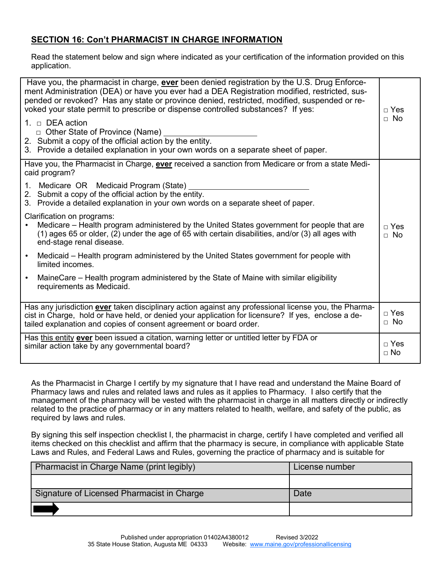# **SECTION 16: Con't PHARMACIST IN CHARGE INFORMATION**

Read the statement below and sign where indicated as your certification of the information provided on this application.

| Have you, the pharmacist in charge, <b>ever</b> been denied registration by the U.S. Drug Enforce-<br>ment Administration (DEA) or have you ever had a DEA Registration modified, restricted, sus-<br>pended or revoked? Has any state or province denied, restricted, modified, suspended or re-<br>voked your state permit to prescribe or dispense controlled substances? If yes:<br>1. $\Box$ DEA action<br>□ Other State of Province (Name)<br>2. Submit a copy of the official action by the entity. | $\sqcap$ Yes<br>$\Box$ No |
|------------------------------------------------------------------------------------------------------------------------------------------------------------------------------------------------------------------------------------------------------------------------------------------------------------------------------------------------------------------------------------------------------------------------------------------------------------------------------------------------------------|---------------------------|
| 3. Provide a detailed explanation in your own words on a separate sheet of paper.                                                                                                                                                                                                                                                                                                                                                                                                                          |                           |
| Have you, the Pharmacist in Charge, ever received a sanction from Medicare or from a state Medi-<br>caid program?                                                                                                                                                                                                                                                                                                                                                                                          |                           |
| 1. Medicare OR Medicaid Program (State)<br>2. Submit a copy of the official action by the entity.<br>3. Provide a detailed explanation in your own words on a separate sheet of paper.                                                                                                                                                                                                                                                                                                                     |                           |
| Clarification on programs:<br>Medicare – Health program administered by the United States government for people that are<br>(1) ages 65 or older, (2) under the age of 65 with certain disabilities, and/or (3) all ages with<br>end-stage renal disease.                                                                                                                                                                                                                                                  | $\sqcap$ Yes<br>$\Box$ No |
| Medicaid – Health program administered by the United States government for people with<br>$\bullet$<br>limited incomes.                                                                                                                                                                                                                                                                                                                                                                                    |                           |
| MaineCare – Health program administered by the State of Maine with similar eligibility<br>requirements as Medicaid.                                                                                                                                                                                                                                                                                                                                                                                        |                           |
| Has any jurisdiction <b>ever</b> taken disciplinary action against any professional license you, the Pharma-<br>cist in Charge, hold or have held, or denied your application for licensure? If yes, enclose a de-<br>tailed explanation and copies of consent agreement or board order.                                                                                                                                                                                                                   | □ Yes<br>$\Box$ No        |
| Has this entity ever been issued a citation, warning letter or untitled letter by FDA or<br>similar action take by any governmental board?                                                                                                                                                                                                                                                                                                                                                                 | $\Box$ Yes<br>$\sqcap$ No |

As the Pharmacist in Charge I certify by my signature that I have read and understand the Maine Board of Pharmacy laws and rules and related laws and rules as it applies to Pharmacy. I also certify that the management of the pharmacy will be vested with the pharmacist in charge in all matters directly or indirectly related to the practice of pharmacy or in any matters related to health, welfare, and safety of the public, as required by laws and rules.

By signing this self inspection checklist I, the pharmacist in charge, certify I have completed and verified all items checked on this checklist and affirm that the pharmacy is secure, in compliance with applicable State Laws and Rules, and Federal Laws and Rules, governing the practice of pharmacy and is suitable for

| Pharmacist in Charge Name (print legibly)  | License number |
|--------------------------------------------|----------------|
|                                            |                |
| Signature of Licensed Pharmacist in Charge | Date           |
|                                            |                |